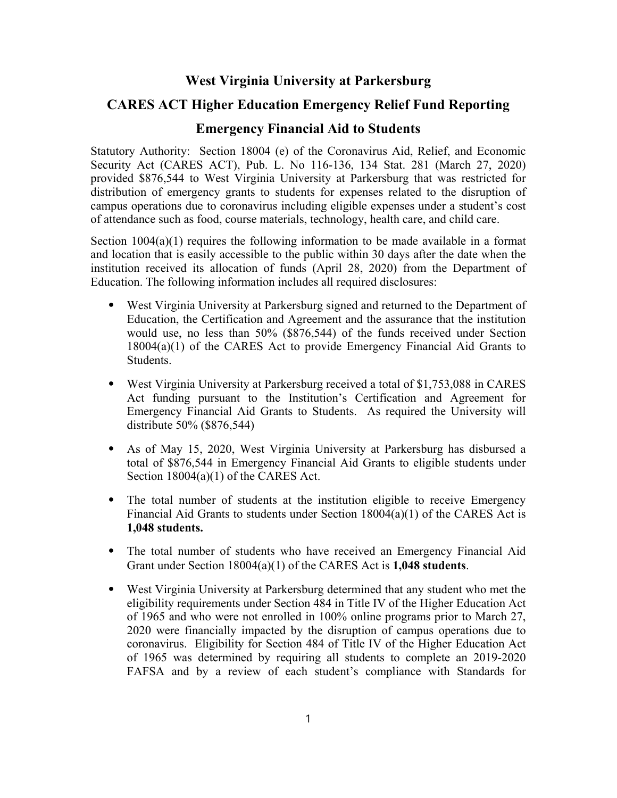## **West Virginia University at Parkersburg**

## **CARES ACT Higher Education Emergency Relief Fund Reporting**

## **Emergency Financial Aid to Students**

Statutory Authority: Section 18004 (e) of the Coronavirus Aid, Relief, and Economic Security Act (CARES ACT), Pub. L. No 116-136, 134 Stat. 281 (March 27, 2020) provided \$876,544 to West Virginia University at Parkersburg that was restricted for distribution of emergency grants to students for expenses related to the disruption of campus operations due to coronavirus including eligible expenses under a student's cost of attendance such as food, course materials, technology, health care, and child care.

Section  $1004(a)(1)$  requires the following information to be made available in a format and location that is easily accessible to the public within 30 days after the date when the institution received its allocation of funds (April 28, 2020) from the Department of Education. The following information includes all required disclosures:

- ⦁ West Virginia University at Parkersburg signed and returned to the Department of Education, the Certification and Agreement and the assurance that the institution would use, no less than 50% (\$876,544) of the funds received under Section 18004(a)(1) of the CARES Act to provide Emergency Financial Aid Grants to Students.
- ⦁ West Virginia University at Parkersburg received a total of \$1,753,088 in CARES Act funding pursuant to the Institution's Certification and Agreement for Emergency Financial Aid Grants to Students. As required the University will distribute 50% (\$876,544)
- ⦁ As of May 15, 2020, West Virginia University at Parkersburg has disbursed a total of \$876,544 in Emergency Financial Aid Grants to eligible students under Section 18004(a)(1) of the CARES Act.
- ⦁ The total number of students at the institution eligible to receive Emergency Financial Aid Grants to students under Section 18004(a)(1) of the CARES Act is **1,048 students.**
- ⦁ The total number of students who have received an Emergency Financial Aid Grant under Section 18004(a)(1) of the CARES Act is **1,048 students**.
- ⦁ West Virginia University at Parkersburg determined that any student who met the eligibility requirements under Section 484 in Title IV of the Higher Education Act of 1965 and who were not enrolled in 100% online programs prior to March 27, 2020 were financially impacted by the disruption of campus operations due to coronavirus. Eligibility for Section 484 of Title IV of the Higher Education Act of 1965 was determined by requiring all students to complete an 2019-2020 FAFSA and by a review of each student's compliance with Standards for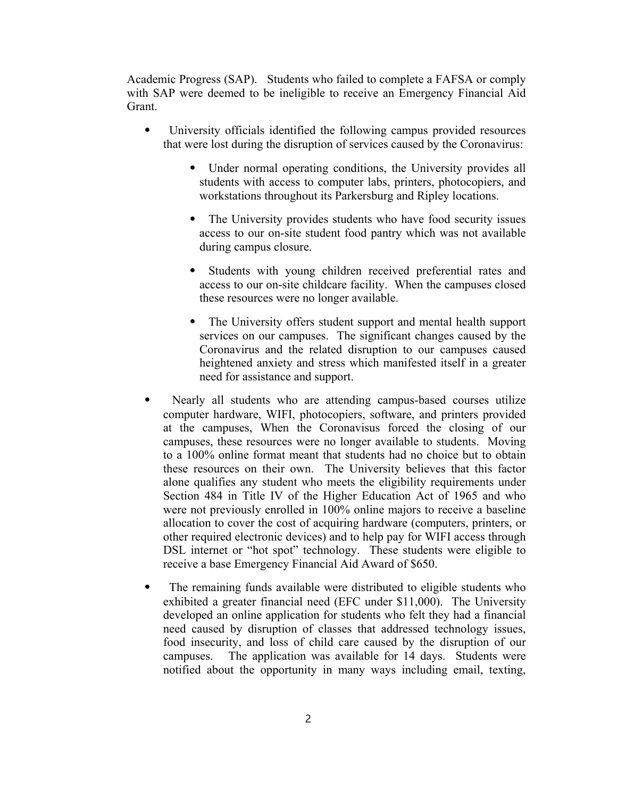Academic Progress (SAP). Students who failed to complete a FAFSA or comply with SAP were deemed to be ineligible to receive an Emergency Financial Aid Grant.

- ⦁ University officials identified the following campus provided resources that were lost during the disruption of services caused by the Coronavirus:
	- ⦁ Under normal operating conditions, the University provides all students with access to computer labs, printers, photocopiers, and workstations throughout its Parkersburg and Ripley locations.
	- ⦁ The University provides students who have food security issues access to our on-site student food pantry which was not available during campus closure.
	- ⦁ Students with young children received preferential rates and access to our on-site childcare facility. When the campuses closed these resources were no longer available.
	- ⦁ The University offers student support and mental health support services on our campuses. The significant changes caused by the Coronavirus and the related disruption to our campuses caused heightened anxiety and stress which manifested itself in a greater need for assistance and support.
- Nearly all students who are attending campus-based courses utilize computer hardware, WIFI, photocopiers, software, and printers provided at the campuses, When the Coronavisus forced the closing of our campuses, these resources were no longer available to students. Moving to a 100% online format meant that students had no choice but to obtain these resources on their own. The University believes that this factor alone qualifies any student who meets the eligibility requirements under Section 484 in Title IV of the Higher Education Act of 1965 and who were not previously enrolled in 100% online majors to receive a baseline allocation to cover the cost of acquiring hardware (computers, printers, or other required electronic devices) and to help pay for WIFI access through DSL internet or "hot spot" technology. These students were eligible to receive a base Emergency Financial Aid Award of \$650.
- ⦁ The remaining funds available were distributed to eligible students who exhibited a greater financial need (EFC under \$11,000). The University developed an online application for students who felt they had a financial need caused by disruption of classes that addressed technology issues, food insecurity, and loss of child care caused by the disruption of our campuses. The application was available for 14 days. Students were notified about the opportunity in many ways including email, texting,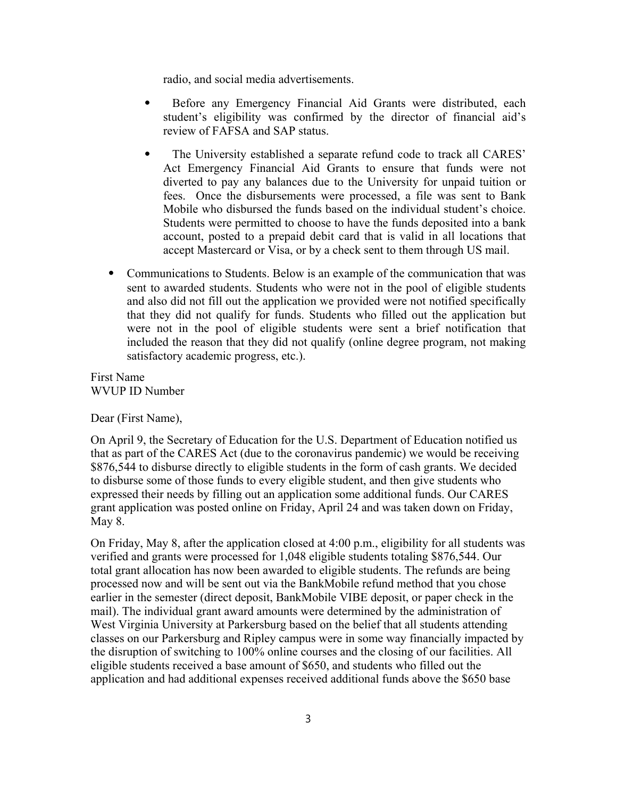radio, and social media advertisements.

- ⦁ Before any Emergency Financial Aid Grants were distributed, each student's eligibility was confirmed by the director of financial aid's review of FAFSA and SAP status.
- ⦁ The University established a separate refund code to track all CARES' Act Emergency Financial Aid Grants to ensure that funds were not diverted to pay any balances due to the University for unpaid tuition or fees. Once the disbursements were processed, a file was sent to Bank Mobile who disbursed the funds based on the individual student's choice. Students were permitted to choose to have the funds deposited into a bank account, posted to a prepaid debit card that is valid in all locations that accept Mastercard or Visa, or by a check sent to them through US mail.
- ⦁ Communications to Students. Below is an example of the communication that was sent to awarded students. Students who were not in the pool of eligible students and also did not fill out the application we provided were not notified specifically that they did not qualify for funds. Students who filled out the application but were not in the pool of eligible students were sent a brief notification that included the reason that they did not qualify (online degree program, not making satisfactory academic progress, etc.).

First Name WVUP ID Number

Dear (First Name),

On April 9, the Secretary of Education for the U.S. Department of Education notified us that as part of the CARES Act (due to the coronavirus pandemic) we would be receiving \$876,544 to disburse directly to eligible students in the form of cash grants. We decided to disburse some of those funds to every eligible student, and then give students who expressed their needs by filling out an application some additional funds. Our CARES grant application was posted online on Friday, April 24 and was taken down on Friday, May 8.

On Friday, May 8, after the application closed at 4:00 p.m., eligibility for all students was verified and grants were processed for 1,048 eligible students totaling \$876,544. Our total grant allocation has now been awarded to eligible students. The refunds are being processed now and will be sent out via the BankMobile refund method that you chose earlier in the semester (direct deposit, BankMobile VIBE deposit, or paper check in the mail). The individual grant award amounts were determined by the administration of West Virginia University at Parkersburg based on the belief that all students attending classes on our Parkersburg and Ripley campus were in some way financially impacted by the disruption of switching to 100% online courses and the closing of our facilities. All eligible students received a base amount of \$650, and students who filled out the application and had additional expenses received additional funds above the \$650 base